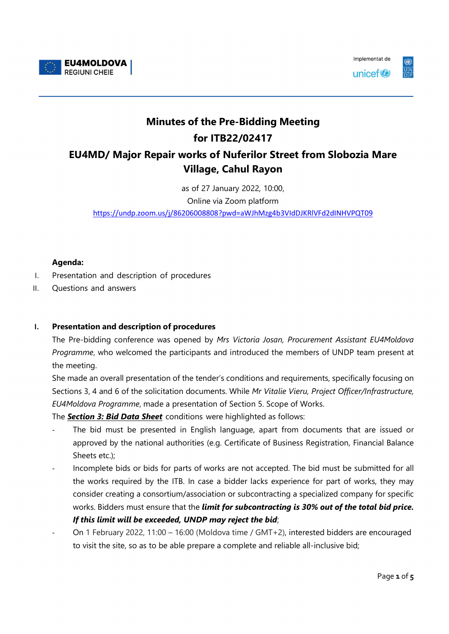



## Minutes of the Pre-Bidding Meeting for ITB22/02417 EU4MD/ Major Repair works of Nuferilor Street from Slobozia Mare Village, Cahul Rayon

as of 27 January 2022, 10:00, Online via Zoom platform https://undp.zoom.us/j/86206008808?pwd=aWJhMzg4b3VIdDJKRlVFd2dINHVPQT09

## Agenda:

- I. Presentation and description of procedures
- II. Questions and answers

## I. Presentation and description of procedures

The Pre-bidding conference was opened by Mrs Victoria Josan, Procurement Assistant EU4Moldova Programme, who welcomed the participants and introduced the members of UNDP team present at the meeting.

She made an overall presentation of the tender's conditions and requirements, specifically focusing on Sections 3, 4 and 6 of the solicitation documents. While Mr Vitalie Vieru, Project Officer/Infrastructure, EU4Moldova Programme, made a presentation of Section 5. Scope of Works.

The **Section 3: Bid Data Sheet** conditions were highlighted as follows:

- The bid must be presented in English language, apart from documents that are issued or approved by the national authorities (e.g. Certificate of Business Registration, Financial Balance Sheets etc.);
- Incomplete bids or bids for parts of works are not accepted. The bid must be submitted for all the works required by the ITB. In case a bidder lacks experience for part of works, they may consider creating a consortium/association or subcontracting a specialized company for specific works. Bidders must ensure that the *limit for subcontracting is 30% out of the total bid price.* If this limit will be exceeded, UNDP may reject the bid;
- On 1 February 2022, 11:00 16:00 (Moldova time / GMT+2), interested bidders are encouraged to visit the site, so as to be able prepare a complete and reliable all-inclusive bid;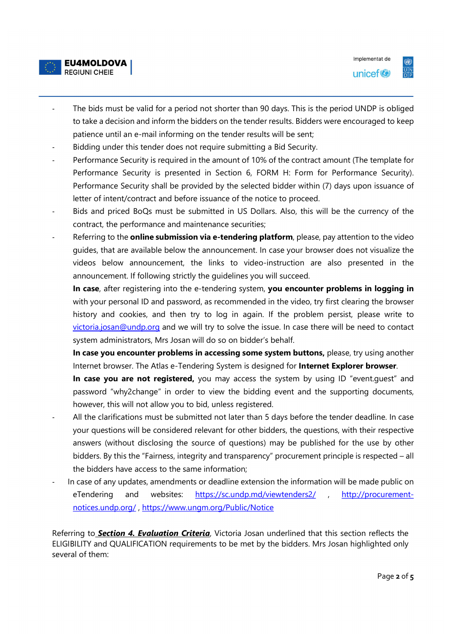



- The bids must be valid for a period not shorter than 90 days. This is the period UNDP is obliged to take a decision and inform the bidders on the tender results. Bidders were encouraged to keep patience until an e-mail informing on the tender results will be sent;
- Bidding under this tender does not require submitting a Bid Security.
- Performance Security is required in the amount of 10% of the contract amount (The template for Performance Security is presented in Section 6, FORM H: Form for Performance Security). Performance Security shall be provided by the selected bidder within (7) days upon issuance of letter of intent/contract and before issuance of the notice to proceed.
- Bids and priced BoQs must be submitted in US Dollars. Also, this will be the currency of the contract, the performance and maintenance securities;
- Referring to the **online submission via e-tendering platform**, please, pay attention to the video guides, that are available below the announcement. In case your browser does not visualize the videos below announcement, the links to video-instruction are also presented in the announcement. If following strictly the guidelines you will succeed.

In case, after registering into the e-tendering system, you encounter problems in logging in with your personal ID and password, as recommended in the video, try first clearing the browser history and cookies, and then try to log in again. If the problem persist, please write to victoria.josan@undp.org and we will try to solve the issue. In case there will be need to contact system administrators, Mrs Josan will do so on bidder's behalf.

In case you encounter problems in accessing some system buttons, please, try using another Internet browser. The Atlas e-Tendering System is designed for Internet Explorer browser.

In case you are not registered, you may access the system by using ID "event.quest" and password "why2change" in order to view the bidding event and the supporting documents, however, this will not allow you to bid, unless registered.

- All the clarifications must be submitted not later than 5 days before the tender deadline. In case your questions will be considered relevant for other bidders, the questions, with their respective answers (without disclosing the source of questions) may be published for the use by other bidders. By this the "Fairness, integrity and transparency" procurement principle is respected – all the bidders have access to the same information;
- In case of any updates, amendments or deadline extension the information will be made public on eTendering and websites: https://sc.undp.md/viewtenders2/ , http://procurement-

notices.undp.org/ , https://www.ungm.org/Public/Notice<br>Referring to Section 4. Evaluation Criteria, Victoria Josan underlined that this section reflects the ELIGIBILITY and QUALIFICATION requirements to be met by the bidders. Mrs Josan highlighted only several of them: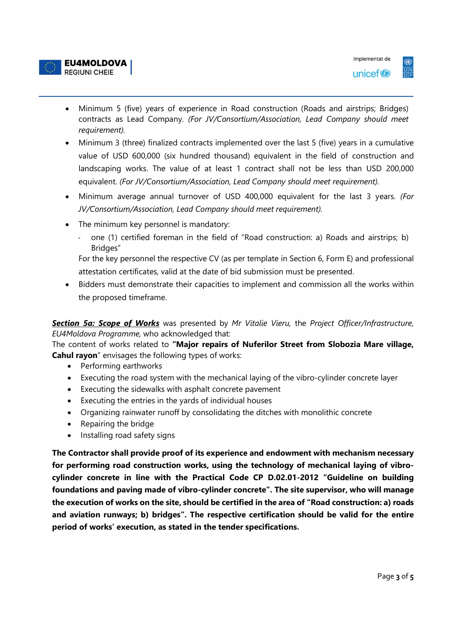

- Minimum 5 (five) years of experience in Road construction (Roads and airstrips; Bridges) contracts as Lead Company. (For JV/Consortium/Association, Lead Company should meet requirement).
- Minimum 3 (three) finalized contracts implemented over the last 5 (five) years in a cumulative value of USD 600,000 (six hundred thousand) equivalent in the field of construction and landscaping works. The value of at least 1 contract shall not be less than USD 200,000 equivalent. (For JV/Consortium/Association, Lead Company should meet requirement).
- Minimum average annual turnover of USD 400,000 equivalent for the last 3 years. (For JV/Consortium/Association, Lead Company should meet requirement).
- The minimum key personnel is mandatory:
	- one (1) certified foreman in the field of "Road construction: a) Roads and airstrips; b) Bridges"

For the key personnel the respective CV (as per template in Section 6, Form E) and professional attestation certificates, valid at the date of bid submission must be presented.

 Bidders must demonstrate their capacities to implement and commission all the works within the proposed timeframe.

Section 5a: Scope of Works was presented by Mr Vitalie Vieru, the Project Officer/Infrastructure, EU4Moldova Programme, who acknowledged that:

The content of works related to "Major repairs of Nuferilor Street from Slobozia Mare village, **Cahul rayon**" envisages the following types of works:

- Performing earthworks
- Executing the road system with the mechanical laying of the vibro-cylinder concrete layer
- Executing the sidewalks with asphalt concrete pavement
- Executing the entries in the yards of individual houses
- Organizing rainwater runoff by consolidating the ditches with monolithic concrete
- Repairing the bridge
- Installing road safety signs

The Contractor shall provide proof of its experience and endowment with mechanism necessary for performing road construction works, using the technology of mechanical laying of vibrocylinder concrete in line with the Practical Code CP D.02.01-2012 "Guideline on building foundations and paving made of vibro-cylinder concrete". The site supervisor, who will manage the execution of works on the site, should be certified in the area of "Road construction: a) roads and aviation runways; b) bridges". The respective certification should be valid for the entire period of works' execution, as stated in the tender specifications.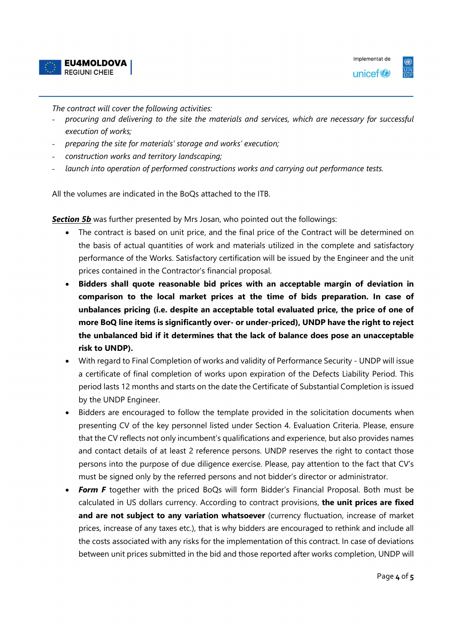



The contract will cover the following activities:

- procuring and delivering to the site the materials and services, which are necessary for successful execution of works;
- preparing the site for materials' storage and works' execution;
- construction works and territory landscaping;
- launch into operation of performed constructions works and carrying out performance tests.

All the volumes are indicated in the BoQs attached to the ITB.

Section 5b was further presented by Mrs Josan, who pointed out the followings:

- The contract is based on unit price, and the final price of the Contract will be determined on the basis of actual quantities of work and materials utilized in the complete and satisfactory performance of the Works. Satisfactory certification will be issued by the Engineer and the unit prices contained in the Contractor's financial proposal.
- Bidders shall quote reasonable bid prices with an acceptable margin of deviation in comparison to the local market prices at the time of bids preparation. In case of unbalances pricing (i.e. despite an acceptable total evaluated price, the price of one of more BoQ line items is significantly over- or under-priced), UNDP have the right to reject the unbalanced bid if it determines that the lack of balance does pose an unacceptable risk to UNDP).
- With regard to Final Completion of works and validity of Performance Security UNDP will issue a certificate of final completion of works upon expiration of the Defects Liability Period. This period lasts 12 months and starts on the date the Certificate of Substantial Completion is issued by the UNDP Engineer.
- Bidders are encouraged to follow the template provided in the solicitation documents when presenting CV of the key personnel listed under Section 4. Evaluation Criteria. Please, ensure that the CV reflects not only incumbent's qualifications and experience, but also provides names and contact details of at least 2 reference persons. UNDP reserves the right to contact those persons into the purpose of due diligence exercise. Please, pay attention to the fact that CV's must be signed only by the referred persons and not bidder's director or administrator.
- Form F together with the priced BoQs will form Bidder's Financial Proposal. Both must be calculated in US dollars currency. According to contract provisions, the unit prices are fixed and are not subject to any variation whatsoever (currency fluctuation, increase of market prices, increase of any taxes etc.), that is why bidders are encouraged to rethink and include all the costs associated with any risks for the implementation of this contract. In case of deviations between unit prices submitted in the bid and those reported after works completion, UNDP will